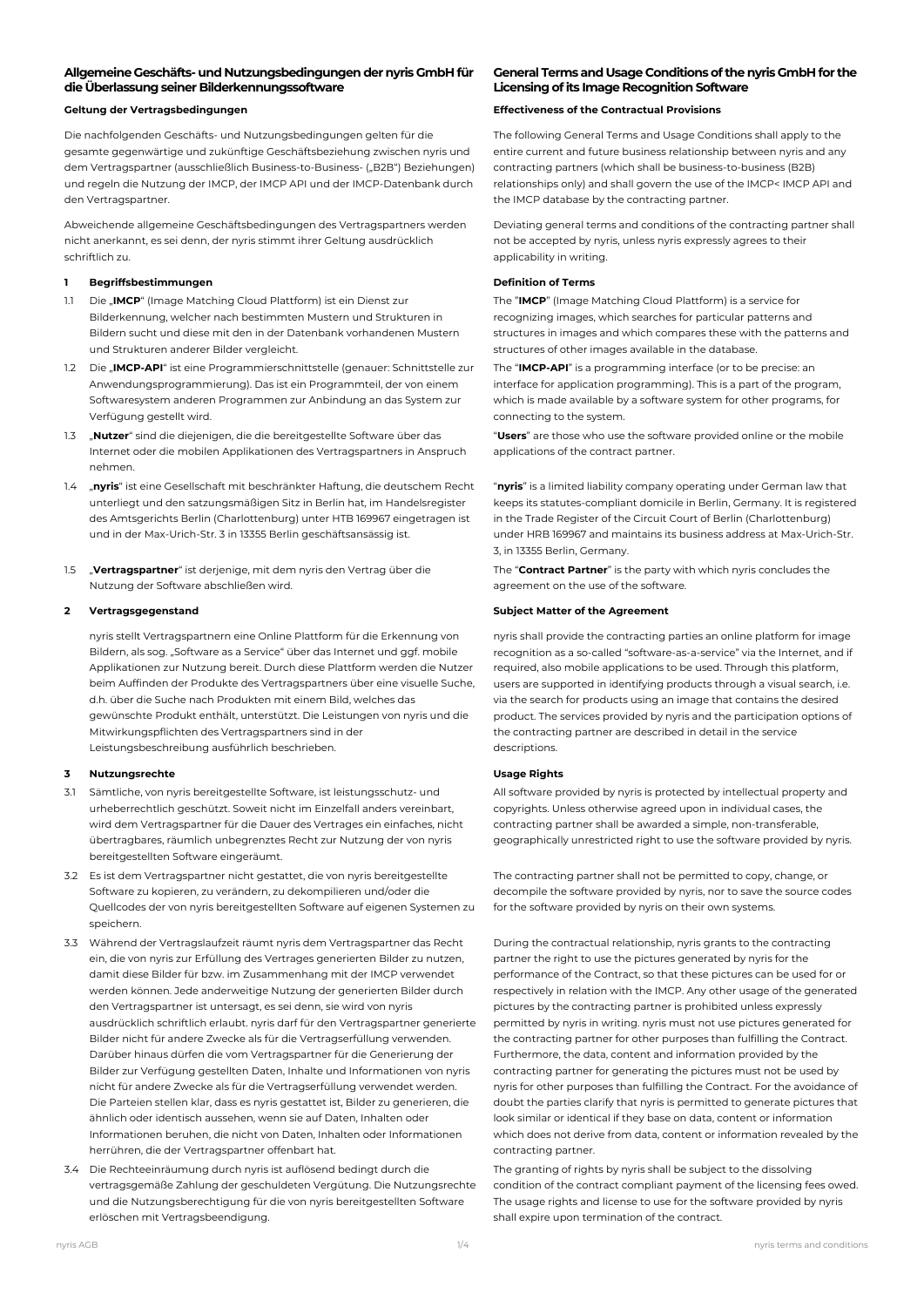## **Allgemeine Geschäfts-und Nutzungsbedingungen der nyris GmbH für die Überlassung seiner Bilderkennungssoftware**

Die nachfolgenden Geschäfts- und Nutzungsbedingungen gelten für die gesamte gegenwärtige und zukünftige Geschäftsbeziehung zwischen nyris und dem Vertragspartner (ausschließlich Business-to-Business- ("B2B") Beziehungen) und regeln die Nutzung der IMCP, der IMCP API und der IMCP-Datenbank durch den Vertragspartner.

Abweichende allgemeine Geschäftsbedingungen des Vertragspartners werden nicht anerkannt, es sei denn, der nyris stimmt ihrer Geltung ausdrücklich schriftlich zu.

## **1 Begriffsbestimmungen Definition of Terms**

- 1.1 Die "**IMCP**" (Image Matching Cloud Plattform) ist ein Dienst zur Bilderkennung, welcher nach bestimmten Mustern und Strukturen in Bildern sucht und diese mit den in der Datenbank vorhandenen Mustern und Strukturen anderer Bilder vergleicht.
- 1.2 Die "**IMCP-API**" ist eine Programmierschnittstelle (genauer: Schnittstelle zur Anwendungsprogrammierung). Das ist ein Programmteil, der von einem Softwaresystem anderen Programmen zur Anbindung an das System zur Verfügung gestellt wird.
- 1.3 "**Nutzer**" sind die diejenigen, die die bereitgestellte Software über das Internet oder die mobilen Applikationen des Vertragspartners in Anspruch nehmen.
- 1.4 "**nyris**" ist eine Gesellschaft mit beschränkter Haftung, die deutschem Recht unterliegt und den satzungsmäßigen Sitz in Berlin hat, im Handelsregister des Amtsgerichts Berlin (Charlottenburg) unter HTB 169967 eingetragen ist und in der Max-Urich-Str. 3 in 13355 Berlin geschäftsansässig ist.
- 1.5 "**Vertragspartner**" ist derjenige, mit dem nyris den Vertrag über die Nutzung der Software abschließen wird.

nyris stellt Vertragspartnern eine Online Plattform für die Erkennung von Bildern, als sog. "Software as a Service" über das Internet und ggf. mobile Applikationen zur Nutzung bereit. Durch diese Plattform werden die Nutzer beim Auffinden der Produkte des Vertragspartners über eine visuelle Suche, d.h. über die Suche nach Produkten mit einem Bild, welches das gewünschte Produkt enthält, unterstützt. Die Leistungen von nyris und die Mitwirkungspflichten des Vertragspartners sind in der Leistungsbeschreibung ausführlich beschrieben.

### **3 Nutzungsrechte Usage Rights**

- 3.1 Sämtliche, von nyris bereitgestellte Software, ist leistungsschutz- und urheberrechtlich geschützt. Soweit nicht im Einzelfall anders vereinbart, wird dem Vertragspartner für die Dauer des Vertrages ein einfaches, nicht übertragbares, räumlich unbegrenztes Recht zur Nutzung der von nyris bereitgestellten Software eingeräumt.
- 3.2 Es ist dem Vertragspartner nicht gestattet, die von nyris bereitgestellte Software zu kopieren, zu verändern, zu dekompilieren und/oder die Quellcodes der von nyris bereitgestellten Software auf eigenen Systemen zu speichern.
- 3.3 Während der Vertragslaufzeit räumt nyris dem Vertragspartner das Recht ein, die von nyris zur Erfüllung des Vertrages generierten Bilder zu nutzen, damit diese Bilder für bzw. im Zusammenhang mit der IMCP verwendet werden können. Jede anderweitige Nutzung der generierten Bilder durch den Vertragspartner ist untersagt, es sei denn, sie wird von nyris ausdrücklich schriftlich erlaubt. nyris darf für den Vertragspartner generierte Bilder nicht für andere Zwecke als für die Vertragserfüllung verwenden. Darüber hinaus dürfen die vom Vertragspartner für die Generierung der Bilder zur Verfügung gestellten Daten, Inhalte und Informationen von nyris nicht für andere Zwecke als für die Vertragserfüllung verwendet werden. Die Parteien stellen klar, dass es nyris gestattet ist, Bilder zu generieren, die ähnlich oder identisch aussehen, wenn sie auf Daten, Inhalten oder Informationen beruhen, die nicht von Daten, Inhalten oder Informationen herrühren, die der Vertragspartner offenbart hat.
- 3.4 Die Rechteeinräumung durch nyris ist auflösend bedingt durch die vertragsgemäße Zahlung der geschuldeten Vergütung. Die Nutzungsrechte und die Nutzungsberechtigung für die von nyris bereitgestellten Software erlöschen mit Vertragsbeendigung.

## **General Terms and Usage Conditions of the nyris GmbH for the Licensing of its Image Recognition Software**

## **Geltung der Vertragsbedingungen Effectiveness of the Contractual Provisions**

The following General Terms and Usage Conditions shall apply to the entire current and future business relationship between nyris and any contracting partners (which shall be business-to-business (B2B) relationships only) and shall govern the use of the IMCP< IMCP API and the IMCP database by the contracting partner.

Deviating general terms and conditions of the contracting partner shall not be accepted by nyris, unless nyris expressly agrees to their applicability in writing.

The "**IMCP**" (Image Matching Cloud Plattform) is a service for recognizing images, which searches for particular patterns and structures in images and which compares these with the patterns and structures of other images available in the database.

The "**IMCP-API**" is a programming interface (or to be precise: an interface for application programming). This is a part of the program, which is made available by a software system for other programs, for connecting to the system.

"**Users**" are those who use the software provided online or the mobile applications of the contract partner.

"**nyris**" is a limited liability company operating under German law that keeps its statutes-compliant domicile in Berlin, Germany. It is registered in the Trade Register of the Circuit Court of Berlin (Charlottenburg) under HRB 169967 and maintains its business address at Max-Urich-Str. 3, in 13355 Berlin, Germany.

The "**Contract Partner**" is the party with which nyris concludes the agreement on the use of the software.

### **2 Vertragsgegenstand Subject Matter of the Agreement**

nyris shall provide the contracting parties an online platform for image recognition as a so-called "software-as-a-service" via the Internet, and if required, also mobile applications to be used. Through this platform, users are supported in identifying products through a visual search, i.e. via the search for products using an image that contains the desired product. The services provided by nyris and the participation options of the contracting partner are described in detail in the service descriptions.

All software provided by nyris is protected by intellectual property and copyrights. Unless otherwise agreed upon in individual cases, the contracting partner shall be awarded a simple, non-transferable, geographically unrestricted right to use the software provided by nyris.

The contracting partner shall not be permitted to copy, change, or decompile the software provided by nyris, nor to save the source codes for the software provided by nyris on their own systems.

During the contractual relationship, nyris grants to the contracting partner the right to use the pictures generated by nyris for the performance of the Contract, so that these pictures can be used for or respectively in relation with the IMCP. Any other usage of the generated pictures by the contracting partner is prohibited unless expressly permitted by nyris in writing. nyris must not use pictures generated for the contracting partner for other purposes than fulfilling the Contract. Furthermore, the data, content and information provided by the contracting partner for generating the pictures must not be used by nyris for other purposes than fulfilling the Contract. For the avoidance of doubt the parties clarify that nyris is permitted to generate pictures that look similar or identical if they base on data, content or information which does not derive from data, content or information revealed by the contracting partner.

The granting of rights by nyris shall be subject to the dissolving condition of the contract compliant payment of the licensing fees owed. The usage rights and license to use for the software provided by nyris shall expire upon termination of the contract.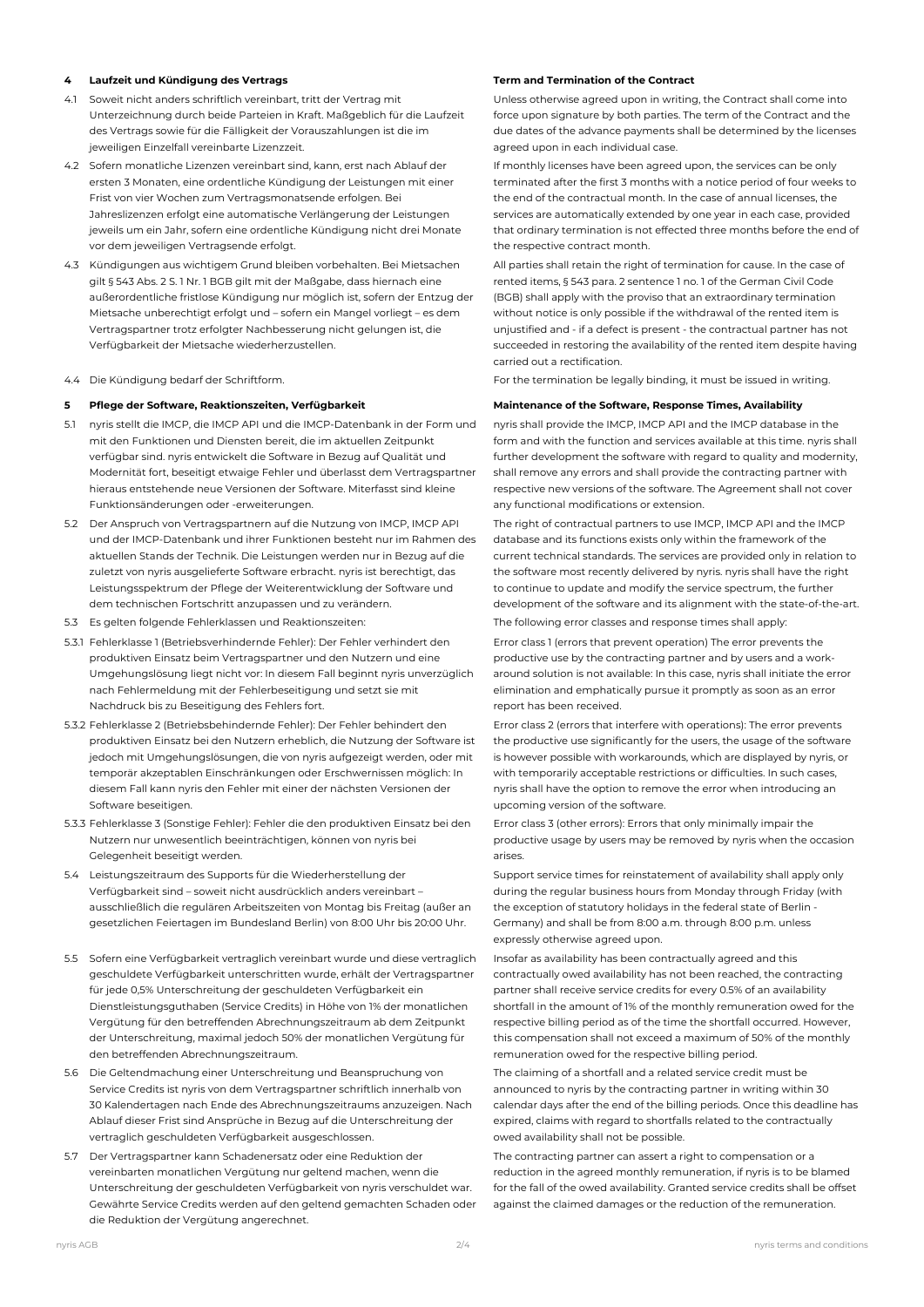### **4 Laufzeit und Kündigung des Vertrags Term and Termination of the Contract**

- 4.1 Soweit nicht anders schriftlich vereinbart, tritt der Vertrag mit Unterzeichnung durch beide Parteien in Kraft. Maßgeblich für die Laufzeit des Vertrags sowie für die Fälligkeit der Vorauszahlungen ist die im jeweiligen Einzelfall vereinbarte Lizenzzeit.
- 4.2 Sofern monatliche Lizenzen vereinbart sind, kann, erst nach Ablauf der ersten 3 Monaten, eine ordentliche Kündigung der Leistungen mit einer Frist von vier Wochen zum Vertragsmonatsende erfolgen. Bei Jahreslizenzen erfolgt eine automatische Verlängerung der Leistungen jeweils um ein Jahr, sofern eine ordentliche Kündigung nicht drei Monate vor dem jeweiligen Vertragsende erfolgt.
- 4.3 Kündigungen aus wichtigem Grund bleiben vorbehalten. Bei Mietsachen gilt § 543 Abs. 2 S. 1 Nr. 1 BGB gilt mit der Maßgabe, dass hiernach eine außerordentliche fristlose Kündigung nur möglich ist, sofern der Entzug der Mietsache unberechtigt erfolgt und – sofern ein Mangel vorliegt – es dem Vertragspartner trotz erfolgter Nachbesserung nicht gelungen ist, die Verfügbarkeit der Mietsache wiederherzustellen.
- 

## **5 Pflege der Software, Reaktionszeiten, Verfügbarkeit Maintenance of the Software, Response Times, Availability**

- 5.1 nyris stellt die IMCP, die IMCP API und die IMCP-Datenbank in der Form und mit den Funktionen und Diensten bereit, die im aktuellen Zeitpunkt verfügbar sind. nyris entwickelt die Software in Bezug auf Qualität und Modernität fort, beseitigt etwaige Fehler und überlasst dem Vertragspartner hieraus entstehende neue Versionen der Software. Miterfasst sind kleine Funktionsänderungen oder -erweiterungen.
- 5.2 Der Anspruch von Vertragspartnern auf die Nutzung von IMCP, IMCP API und der IMCP-Datenbank und ihrer Funktionen besteht nur im Rahmen des aktuellen Stands der Technik. Die Leistungen werden nur in Bezug auf die zuletzt von nyris ausgelieferte Software erbracht. nyris ist berechtigt, das Leistungsspektrum der Pflege der Weiterentwicklung der Software und dem technischen Fortschritt anzupassen und zu verändern.
- 5.3 Es gelten folgende Fehlerklassen und Reaktionszeiten: The following error classes and response times shall apply:
- 5.3.1 Fehlerklasse 1 (Betriebsverhindernde Fehler): Der Fehler verhindert den produktiven Einsatz beim Vertragspartner und den Nutzern und eine Umgehungslösung liegt nicht vor: In diesem Fall beginnt nyris unverzüglich nach Fehlermeldung mit der Fehlerbeseitigung und setzt sie mit Nachdruck bis zu Beseitigung des Fehlers fort.
- 5.3.2 Fehlerklasse 2 (Betriebsbehindernde Fehler): Der Fehler behindert den produktiven Einsatz bei den Nutzern erheblich, die Nutzung der Software ist jedoch mit Umgehungslösungen, die von nyris aufgezeigt werden, oder mit temporär akzeptablen Einschränkungen oder Erschwernissen möglich: In diesem Fall kann nyris den Fehler mit einer der nächsten Versionen der Software beseitigen.
- 5.3.3 Fehlerklasse 3 (Sonstige Fehler): Fehler die den produktiven Einsatz bei den Nutzern nur unwesentlich beeinträchtigen, können von nyris bei Gelegenheit beseitigt werden.
- 5.4 Leistungszeitraum des Supports für die Wiederherstellung der Verfügbarkeit sind – soweit nicht ausdrücklich anders vereinbart – ausschließlich die regulären Arbeitszeiten von Montag bis Freitag (außer an gesetzlichen Feiertagen im Bundesland Berlin) von 8:00 Uhr bis 20:00 Uhr.
- 5.5 Sofern eine Verfügbarkeit vertraglich vereinbart wurde und diese vertraglich geschuldete Verfügbarkeit unterschritten wurde, erhält der Vertragspartner für jede 0,5% Unterschreitung der geschuldeten Verfügbarkeit ein Dienstleistungsguthaben (Service Credits) in Höhe von 1% der monatlichen Vergütung für den betreffenden Abrechnungszeitraum ab dem Zeitpunkt der Unterschreitung, maximal jedoch 50% der monatlichen Vergütung für den betreffenden Abrechnungszeitraum.
- 5.6 Die Geltendmachung einer Unterschreitung und Beanspruchung von Service Credits ist nyris von dem Vertragspartner schriftlich innerhalb von 30 Kalendertagen nach Ende des Abrechnungszeitraums anzuzeigen. Nach Ablauf dieser Frist sind Ansprüche in Bezug auf die Unterschreitung der vertraglich geschuldeten Verfügbarkeit ausgeschlossen.
- 5.7 Der Vertragspartner kann Schadenersatz oder eine Reduktion der vereinbarten monatlichen Vergütung nur geltend machen, wenn die Unterschreitung der geschuldeten Verfügbarkeit von nyris verschuldet war. Gewährte Service Credits werden auf den geltend gemachten Schaden oder die Reduktion der Vergütung angerechnet.

Unless otherwise agreed upon in writing, the Contract shall come into force upon signature by both parties. The term of the Contract and the due dates of the advance payments shall be determined by the licenses agreed upon in each individual case.

If monthly licenses have been agreed upon, the services can be only terminated after the first 3 months with a notice period of four weeks to the end of the contractual month. In the case of annual licenses, the services are automatically extended by one year in each case, provided that ordinary termination is not effected three months before the end of the respective contract month.

All parties shall retain the right of termination for cause. In the case of rented items, § 543 para. 2 sentence 1 no. 1 of the German Civil Code (BGB) shall apply with the proviso that an extraordinary termination without notice is only possible if the withdrawal of the rented item is unjustified and - if a defect is present - the contractual partner has not succeeded in restoring the availability of the rented item despite having carried out a rectification.

4.4 Die Kündigung bedarf der Schriftform. For the termination be legally binding, it must be issued in writing.

nyris shall provide the IMCP, IMCP API and the IMCP database in the form and with the function and services available at this time. nyris shall further development the software with regard to quality and modernity. shall remove any errors and shall provide the contracting partner with respective new versions of the software. The Agreement shall not cover any functional modifications or extension.

The right of contractual partners to use IMCP, IMCP API and the IMCP database and its functions exists only within the framework of the current technical standards. The services are provided only in relation to the software most recently delivered by nyris. nyris shall have the right to continue to update and modify the service spectrum, the further development of the software and its alignment with the state-of-the-art.

Error class 1 (errors that prevent operation) The error prevents the productive use by the contracting partner and by users and a workaround solution is not available: In this case, nyris shall initiate the error elimination and emphatically pursue it promptly as soon as an error report has been received.

Error class 2 (errors that interfere with operations): The error prevents the productive use significantly for the users, the usage of the software is however possible with workarounds, which are displayed by nyris, or with temporarily acceptable restrictions or difficulties. In such cases, nyris shall have the option to remove the error when introducing an upcoming version of the software.

Error class 3 (other errors): Errors that only minimally impair the productive usage by users may be removed by nyris when the occasion arises.

Support service times for reinstatement of availability shall apply only during the regular business hours from Monday through Friday (with the exception of statutory holidays in the federal state of Berlin - Germany) and shall be from 8:00 a.m. through 8:00 p.m. unless expressly otherwise agreed upon.

Insofar as availability has been contractually agreed and this contractually owed availability has not been reached, the contracting partner shall receive service credits for every 0.5% of an availability shortfall in the amount of 1% of the monthly remuneration owed for the respective billing period as of the time the shortfall occurred. However, this compensation shall not exceed a maximum of 50% of the monthly remuneration owed for the respective billing period.

The claiming of a shortfall and a related service credit must be announced to nyris by the contracting partner in writing within 30 calendar days after the end of the billing periods. Once this deadline has expired, claims with regard to shortfalls related to the contractually owed availability shall not be possible.

The contracting partner can assert a right to compensation or a reduction in the agreed monthly remuneration, if nyris is to be blamed for the fall of the owed availability. Granted service credits shall be offset against the claimed damages or the reduction of the remuneration.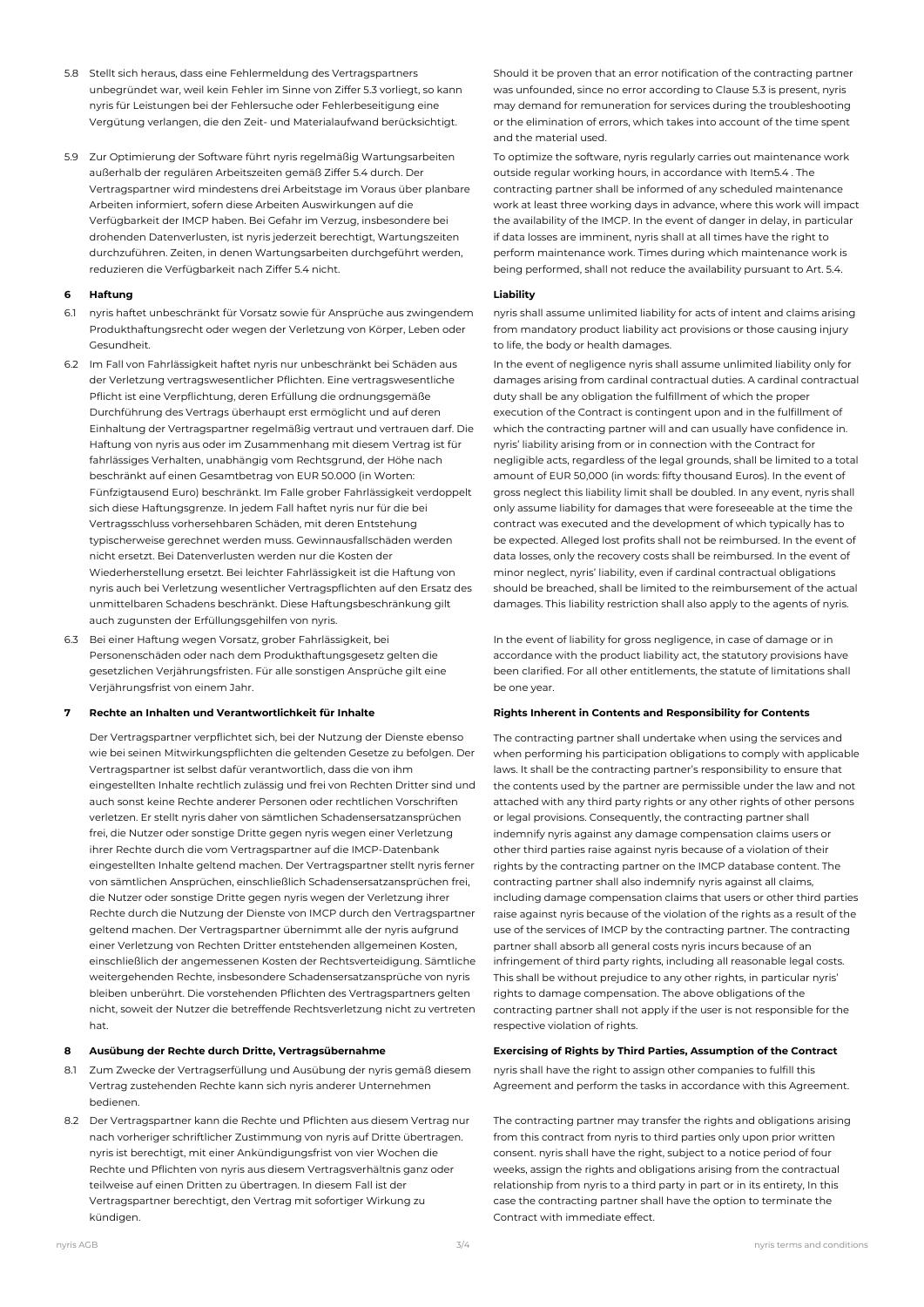- 5.8 Stellt sich heraus, dass eine Fehlermeldung des Vertragspartners unbegründet war, weil kein Fehler im Sinne von Ziffer 5.3 vorliegt, so kann nyris für Leistungen bei der Fehlersuche oder Fehlerbeseitigung eine Vergütung verlangen, die den Zeit- und Materialaufwand berücksichtigt.
- 5.9 Zur Optimierung der Software führt nyris regelmäßig Wartungsarbeiten außerhalb der regulären Arbeitszeiten gemäß Ziffer 5.4 durch. Der Vertragspartner wird mindestens drei Arbeitstage im Voraus über planbare Arbeiten informiert, sofern diese Arbeiten Auswirkungen auf die Verfügbarkeit der IMCP haben. Bei Gefahr im Verzug, insbesondere bei drohenden Datenverlusten, ist nyris jederzeit berechtigt, Wartungszeiten durchzuführen. Zeiten, in denen Wartungsarbeiten durchgeführt werden, reduzieren die Verfügbarkeit nach Ziffer 5.4 nicht.

## **6 Haftung Liability**

- 6.1 nyris haftet unbeschränkt für Vorsatz sowie für Ansprüche aus zwingendem Produkthaftungsrecht oder wegen der Verletzung von Körper, Leben oder Gesundheit.
- 6.2 Im Fall von Fahrlässigkeit haftet nyris nur unbeschränkt bei Schäden aus der Verletzung vertragswesentlicher Pflichten. Eine vertragswesentliche Pflicht ist eine Verpflichtung, deren Erfüllung die ordnungsgemäße Durchführung des Vertrags überhaupt erst ermöglicht und auf deren Einhaltung der Vertragspartner regelmäßig vertraut und vertrauen darf. Die Haftung von nyris aus oder im Zusammenhang mit diesem Vertrag ist für fahrlässiges Verhalten, unabhängig vom Rechtsgrund, der Höhe nach beschränkt auf einen Gesamtbetrag von EUR 50.000 (in Worten: Fünfzigtausend Euro) beschränkt. Im Falle grober Fahrlässigkeit verdoppelt sich diese Haftungsgrenze. In jedem Fall haftet nyris nur für die bei Vertragsschluss vorhersehbaren Schäden, mit deren Entstehung typischerweise gerechnet werden muss. Gewinnausfallschäden werden nicht ersetzt. Bei Datenverlusten werden nur die Kosten der Wiederherstellung ersetzt. Bei leichter Fahrlässigkeit ist die Haftung von nyris auch bei Verletzung wesentlicher Vertragspflichten auf den Ersatz des unmittelbaren Schadens beschränkt. Diese Haftungsbeschränkung gilt auch zugunsten der Erfüllungsgehilfen von nyris.
- 6.3 Bei einer Haftung wegen Vorsatz, grober Fahrlässigkeit, bei Personenschäden oder nach dem Produkthaftungsgesetz gelten die gesetzlichen Verjährungsfristen. Für alle sonstigen Ansprüche gilt eine Verjährungsfrist von einem Jahr.

Der Vertragspartner verpflichtet sich, bei der Nutzung der Dienste ebenso wie bei seinen Mitwirkungspflichten die geltenden Gesetze zu befolgen. Der Vertragspartner ist selbst dafür verantwortlich, dass die von ihm eingestellten Inhalte rechtlich zulässig und frei von Rechten Dritter sind und auch sonst keine Rechte anderer Personen oder rechtlichen Vorschriften verletzen. Er stellt nyris daher von sämtlichen Schadensersatzansprüchen frei, die Nutzer oder sonstige Dritte gegen nyris wegen einer Verletzung ihrer Rechte durch die vom Vertragspartner auf die IMCP-Datenbank eingestellten Inhalte geltend machen. Der Vertragspartner stellt nyris ferner von sämtlichen Ansprüchen, einschließlich Schadensersatzansprüchen frei, die Nutzer oder sonstige Dritte gegen nyris wegen der Verletzung ihrer Rechte durch die Nutzung der Dienste von IMCP durch den Vertragspartner geltend machen. Der Vertragspartner übernimmt alle der nyris aufgrund einer Verletzung von Rechten Dritter entstehenden allgemeinen Kosten, einschließlich der angemessenen Kosten der Rechtsverteidigung. Sämtliche weitergehenden Rechte, insbesondere Schadensersatzansprüche von nyris bleiben unberührt. Die vorstehenden Pflichten des Vertragspartners gelten nicht, soweit der Nutzer die betreffende Rechtsverletzung nicht zu vertreten hat.

- 8.1 Zum Zwecke der Vertragserfüllung und Ausübung der nyris gemäß diesem Vertrag zustehenden Rechte kann sich nyris anderer Unternehmen bedienen.
- 8.2 Der Vertragspartner kann die Rechte und Pflichten aus diesem Vertrag nur nach vorheriger schriftlicher Zustimmung von nyris auf Dritte übertragen. nyris ist berechtigt, mit einer Ankündigungsfrist von vier Wochen die Rechte und Pflichten von nyris aus diesem Vertragsverhältnis ganz oder teilweise auf einen Dritten zu übertragen. In diesem Fall ist der Vertragspartner berechtigt, den Vertrag mit sofortiger Wirkung zu kündigen.

Should it be proven that an error notification of the contracting partner was unfounded, since no error according to Clause 5.3 is present, nyris may demand for remuneration for services during the troubleshooting or the elimination of errors, which takes into account of the time spent and the material used.

To optimize the software, nyris regularly carries out maintenance work outside regular working hours, in accordance with Item5.4 . The contracting partner shall be informed of any scheduled maintenance work at least three working days in advance, where this work will impact the availability of the IMCP. In the event of danger in delay, in particular if data losses are imminent, nyris shall at all times have the right to perform maintenance work. Times during which maintenance work is being performed, shall not reduce the availability pursuant to Art. 5.4.

nyris shall assume unlimited liability for acts of intent and claims arising from mandatory product liability act provisions or those causing injury to life, the body or health damages.

In the event of negligence nyris shall assume unlimited liability only for damages arising from cardinal contractual duties. A cardinal contractual duty shall be any obligation the fulfillment of which the proper execution of the Contract is contingent upon and in the fulfillment of which the contracting partner will and can usually have confidence in. nyris' liability arising from or in connection with the Contract for negligible acts, regardless of the legal grounds, shall be limited to a total amount of EUR 50,000 (in words: fifty thousand Euros). In the event of gross neglect this liability limit shall be doubled. In any event, nyris shall only assume liability for damages that were foreseeable at the time the contract was executed and the development of which typically has to be expected. Alleged lost profits shall not be reimbursed. In the event of data losses, only the recovery costs shall be reimbursed. In the event of minor neglect, nyris' liability, even if cardinal contractual obligations should be breached, shall be limited to the reimbursement of the actual damages. This liability restriction shall also apply to the agents of nyris.

In the event of liability for gross negligence, in case of damage or in accordance with the product liability act, the statutory provisions have been clarified. For all other entitlements, the statute of limitations shall be one year.

### **7 Rechte an Inhalten und Verantwortlichkeit für Inhalte Rights Inherent in Contents and Responsibility for Contents**

The contracting partner shall undertake when using the services and when performing his participation obligations to comply with applicable laws. It shall be the contracting partner's responsibility to ensure that the contents used by the partner are permissible under the law and not attached with any third party rights or any other rights of other persons or legal provisions. Consequently, the contracting partner shall indemnify nyris against any damage compensation claims users or other third parties raise against nyris because of a violation of their rights by the contracting partner on the IMCP database content. The contracting partner shall also indemnify nyris against all claims, including damage compensation claims that users or other third parties raise against nyris because of the violation of the rights as a result of the use of the services of IMCP by the contracting partner. The contracting partner shall absorb all general costs nyris incurs because of an infringement of third party rights, including all reasonable legal costs. This shall be without prejudice to any other rights, in particular nyris' rights to damage compensation. The above obligations of the contracting partner shall not apply if the user is not responsible for the respective violation of rights.

### **8 Ausübung der Rechte durch Dritte, Vertragsübernahme Exercising of Rights by Third Parties, Assumption of the Contract**

nyris shall have the right to assign other companies to fulfill this Agreement and perform the tasks in accordance with this Agreement.

The contracting partner may transfer the rights and obligations arising from this contract from nyris to third parties only upon prior written consent. nyris shall have the right, subject to a notice period of four weeks, assign the rights and obligations arising from the contractual relationship from nyris to a third party in part or in its entirety, In this case the contracting partner shall have the option to terminate the Contract with immediate effect.